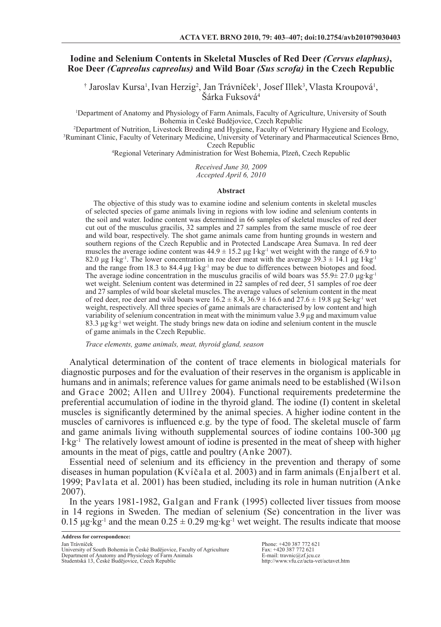# **Iodine and Selenium Contents in Skeletal Muscles of Red Deer** *(Cervus elaphus)***, Roe Deer** *(Capreolus capreolus)* **and Wild Boar** *(Sus scrofa)* **in the Czech Republic**

† Jaroslav Kursa<sup>1</sup>, Ivan Herzig<sup>2</sup>, Jan Trávníček<sup>1</sup>, Josef Illek<sup>3</sup>, Vlasta Kroupová<sup>1</sup>, Šárka Fuksová<sup>4</sup>

1 Department of Anatomy and Physiology of Farm Animals, Faculty of Agriculture, University of South Bohemia in České Budějovice, Czech Republic

2 Department of Nutrition, Livestock Breeding and Hygiene, Faculty of Veterinary Hygiene and Ecology, 3 Ruminant Clinic, Faculty of Veterinary Medicine, University of Veterinary and Pharmaceutical Sciences Brno, Czech Republic

4 Regional Veterinary Administration for West Bohemia, Plzeň, Czech Republic

*Received June 30, 2009 Accepted April 6, 2010*

#### **Abstract**

The objective of this study was to examine iodine and selenium contents in skeletal muscles of selected species of game animals living in regions with low iodine and selenium contents in the soil and water. Iodine content was determined in 66 samples of skeletal muscles of red deer cut out of the musculus gracilis, 32 samples and 27 samples from the same muscle of roe deer and wild boar, respectively. The shot game animals came from hunting grounds in western and southern regions of the Czech Republic and in Protected Landscape Area Šumava. In red deer muscles the average iodine content was  $44.9 \pm 15.2$  µg I·kg<sup>-1</sup> wet weight with the range of 6.9 to 82.0 μg I·kg<sup>-1</sup>. The lower concentration in roe deer meat with the average 39.3  $\pm$  14.1 μg I·kg<sup>-1</sup> and the range from 18.3 to 84.4 μg I·kg-1 may be due to differences between biotopes and food. The average iodine concentration in the musculus gracilis of wild boars was  $55.9\pm 27.0$   $\mu$ g·kg<sup>-1</sup> wet weight. Selenium content was determined in 22 samples of red deer, 51 samples of roe deer and 27 samples of wild boar skeletal muscles. The average values of selenium content in the meat of red deer, roe deer and wild boars were  $16.2 \pm 8.4$ ,  $36.9 \pm 16.6$  and  $27.6 \pm 19.8$  µg Se·kg<sup>-1</sup> wet weight, respectively. All three species of game animals are characterised by low content and high variability of selenium concentration in meat with the minimum value 3.9 µg and maximum value 83.3 μg·kg-1 wet weight. The study brings new data on iodine and selenium content in the muscle of game animals in the Czech Republic.

*Trace elements, game animals, meat, thyroid gland, season*

Analytical determination of the content of trace elements in biological materials for diagnostic purposes and for the evaluation of their reserves in the organism is applicable in humans and in animals; reference values for game animals need to be established (Wilson and Grace 2002; Allen and Ullrey 2004). Functional requirements predetermine the preferential accumulation of iodine in the thyroid gland. The iodine (I) content in skeletal muscles is significantly determined by the animal species. A higher iodine content in the muscles of carnivores is influenced e.g. by the type of food. The skeletal muscle of farm and game animals living withouth supplemental sources of iodine contains 100-300 μg  $I \cdot kg^{-1}$  The relatively lowest amount of iodine is presented in the meat of sheep with higher amounts in the meat of pigs, cattle and poultry (Anke 2007).

Essential need of selenium and its efficiency in the prevention and therapy of some diseases in human population (Kvíčala et al. 2003) and in farm animals (Enjalbert et al. 1999; Pavlata et al. 2001) has been studied, including its role in human nutrition (Anke 2007).

In the years 1981-1982, Galgan and Frank (1995) collected liver tissues from moose in 14 regions in Sweden. The median of selenium (Se) concentration in the liver was 0.15 μg·kg<sup>-1</sup> and the mean  $0.25 \pm 0.29$  mg·kg<sup>-1</sup> wet weight. The results indicate that moose

Phone: +420 387 772 621 Fax: +420 387 772 621 E-mail: travnic@zf.jcu.cz http://www.vfu.cz/acta-vet/actavet.htm

University of South Bohemia in České Budějovice, Faculty of Agriculture Department of Anatomy and Physiology of Farm Animals Studentská 13, České Budějovice, Czech Republic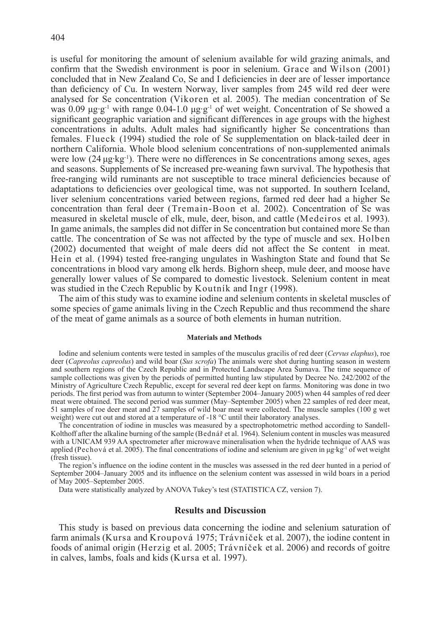is useful for monitoring the amount of selenium available for wild grazing animals, and confirm that the Swedish environment is poor in selenium. Grace and Wilson (2001) concluded that in New Zealand Co, Se and I deficiencies in deer are of lesser importance than deficiency of Cu. In western Norway, liver samples from 245 wild red deer were analysed for Se concentration (Vikoren et al. 2005). The median concentration of Se was 0.09 μg·g<sup>-1</sup> with range 0.04-1.0 μg·g<sup>-1</sup> of wet weight. Concentration of Se showed a significant geographic variation and significant differences in age groups with the highest concentrations in adults. Adult males had significantly higher Se concentrations than females. Flueck (1994) studied the role of Se supplementation on black-tailed deer in northern California. Whole blood selenium concentrations of non-supplemented animals were low  $(24 \mu g \cdot kg^{-1})$ . There were no differences in Se concentrations among sexes, ages and seasons. Supplements of Se increased pre-weaning fawn survival. The hypothesis that free-ranging wild ruminants are not susceptible to trace mineral deficiencies because of adaptations to deficiencies over geological time, was not supported. In southern Iceland, liver selenium concentrations varied between regions, farmed red deer had a higher Se concentration than feral deer (Tremain-Boon et al. 2002). Concentration of Se was measured in skeletal muscle of elk, mule, deer, bison, and cattle (Medeiros et al. 1993). In game animals, the samples did not differ in Se concentration but contained more Se than cattle. The concentration of Se was not affected by the type of muscle and sex. Holben (2002) documented that weight of male deers did not affect the Se content in meat. Hein et al. (1994) tested free-ranging ungulates in Washington State and found that Se concentrations in blood vary among elk herds. Bighorn sheep, mule deer, and moose have generally lower values of Se compared to domestic livestock. Selenium content in meat was studied in the Czech Republic by Koutník and Ingr (1998).

The aim of this study was to examine iodine and selenium contents in skeletal muscles of some species of game animals living in the Czech Republic and thus recommend the share of the meat of game animals as a source of both elements in human nutrition.

#### **Materials and Methods**

Iodine and selenium contents were tested in samples of the musculus gracilis of red deer (*Cervus elaphus*), roe deer (*Capreolus capreolus*) and wild boar (*Sus scrofa*) The animals were shot during hunting season in western and southern regions of the Czech Republic and in Protected Landscape Area Šumava. The time sequence of sample collections was given by the periods of permitted hunting law stipulated by Decree No. 242/2002 of the Ministry of Agriculture Czech Republic, except for several red deer kept on farms. Monitoring was done in two periods. The first period was from autumn to winter (September 2004–January 2005) when 44 samples of red deer meat were obtained. The second period was summer (May–September 2005) when 22 samples of red deer meat, 51 samples of roe deer meat and 27 samples of wild boar meat were collected. The muscle samples (100 g wet weight) were cut out and stored at a temperature of -18 °C until their laboratory analyses.

The concentration of iodine in muscles was measured by a spectrophotometric method according to Sandell-Kolthoff after the alkaline burning of the sample (Bednář et al. 1964). Selenium content in muscles was measured with a UNICAM 939 AA spectrometer after microwave mineralisation when the hydride technique of AAS was applied (Pechová et al. 2005). The final concentrations of iodine and selenium are given in  $\mu$ g·kg<sup>-1</sup> of wet weight (fresh tissue).

The region's influence on the iodine content in the muscles was assessed in the red deer hunted in a period of September 2004–January 2005 and its influence on the selenium content was assessed in wild boars in a period of May 2005–September 2005.

Data were statistically analyzed by ANOVA Tukey's test (STATISTICA CZ, version 7).

### **Results and Discussion**

This study is based on previous data concerning the iodine and selenium saturation of farm animals (Kursa and Kroupová 1975; Trávníček et al. 2007), the iodine content in foods of animal origin (Herzig et al. 2005; Trávníček et al. 2006) and records of goitre in calves, lambs, foals and kids (Kursa et al. 1997).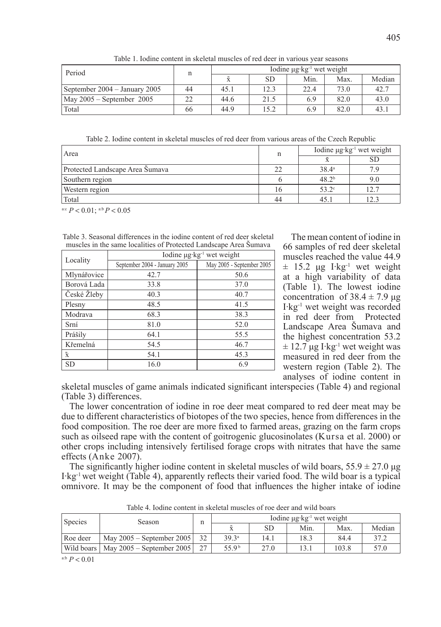| Period                                      | n  | Iodine $\mu$ g·kg <sup>-1</sup> wet weight |      |      |      |        |
|---------------------------------------------|----|--------------------------------------------|------|------|------|--------|
|                                             |    |                                            | SD   | Min. | Max. | Median |
| September 2004 – January 2005               | 44 | 45.1                                       | 12.3 | 22.4 | 73.0 | 42.7   |
| $\text{May } 2005 - \text{September } 2005$ | 22 | 44.6                                       | 21.5 | 6.9  | 82.0 | 43.0   |
| Total                                       | 66 | 44.9                                       | 15.2 | 6.9  | 82.0 | 43.    |

Table 1. Iodine content in skeletal muscles of red deer in various year seasons

Table 2. Iodine content in skeletal muscles of red deer from various areas of the Czech Republic

| Area                            | n  | Iodine $\mu$ g·kg <sup>-1</sup> wet weight |     |  |  |
|---------------------------------|----|--------------------------------------------|-----|--|--|
|                                 |    |                                            | SD  |  |  |
| Protected Landscape Area Šumava | 22 | $38.4^{\circ}$                             |     |  |  |
| Southern region                 |    | 48.2 <sup>b</sup>                          | 9.0 |  |  |
| Western region                  | 16 | $53.2^\circ$                               |     |  |  |
| Total                           | 44 | 45.                                        |     |  |  |

a:c  $P < 0.01$ ; a:b  $P < 0.05$ 

Table 3. Seasonal differences in the iodine content of red deer skeletal muscles in the same localities of Protected Landscape Area Šumava

|                    | Iodine $\mu$ g·kg <sup>-1</sup> wet weight |                           |  |  |  |  |
|--------------------|--------------------------------------------|---------------------------|--|--|--|--|
| Locality           | September 2004 - January 2005              | May 2005 - September 2005 |  |  |  |  |
| Mlynářovice        | 42.7                                       | 50.6                      |  |  |  |  |
| Borová Lada        | 33.8                                       | 37.0                      |  |  |  |  |
| České Žleby        | 40.3                                       | 40.7                      |  |  |  |  |
| Plesny             | 48.5                                       | 41.5                      |  |  |  |  |
| Modrava            | 68.3                                       | 38.3                      |  |  |  |  |
| Srní               | 81.0                                       | 52.0                      |  |  |  |  |
| Prášily            | 64.1                                       | 55.5                      |  |  |  |  |
| Křemelná           | 54.5                                       | 46.7                      |  |  |  |  |
| $\bar{\textbf{x}}$ | 54.1                                       | 45.3                      |  |  |  |  |
| <b>SD</b>          | 16.0                                       | 6.9                       |  |  |  |  |

The mean content of iodine in 66 samples of red deer skeletal muscles reached the value 44.9  $\pm$  15.2 μg I·kg<sup>-1</sup> wet weight at a high variability of data (Table 1). The lowest iodine concentration of  $38.4 \pm 7.9$  μg I·kg-1 wet weight was recorded in red deer from Protected Landscape Area Šumava and the highest concentration 53.2  $\pm$  12.7 μg I·kg<sup>-1</sup> wet weight was measured in red deer from the western region (Table 2). The analyses of iodine content in

skeletal muscles of game animals indicated significant interspecies (Table 4) and regional (Table 3) differences.

The lower concentration of iodine in roe deer meat compared to red deer meat may be due to different characteristics of biotopes of the two species, hence from differences in the food composition. The roe deer are more fixed to farmed areas, grazing on the farm crops such as oilseed rape with the content of goitrogenic glucosinolates (Kursa et al. 2000) or other crops including intensively fertilised forage crops with nitrates that have the same effects (Anke 2007).

The significantly higher iodine content in skeletal muscles of wild boars,  $55.9 \pm 27.0 \,\mu$ g I·kg-1 wet weight (Table 4), apparently reflects their varied food. The wild boar is a typical omnivore. It may be the component of food that influences the higher intake of iodine

| <b>Species</b> | Season                      | n  | Iodine $\mu$ g·kg <sup>-1</sup> wet weight |       |      |       |        |  |
|----------------|-----------------------------|----|--------------------------------------------|-------|------|-------|--------|--|
|                |                             |    |                                            | SD    | Min. | Max   | Median |  |
| Roe deer       | May $2005$ – September 2005 | 32 | 39.3 <sup>a</sup>                          | (4.1) | 18.3 | 84.4  | 37.2   |  |
| Wild boars     | May $2005$ – September 2005 | 27 | 55.9 <sup>b</sup>                          | 27.0  | 13.) | 103.8 | 57.0   |  |

Table 4. Iodine content in skeletal muscles of roe deer and wild boars

a:b  $P < 0.01$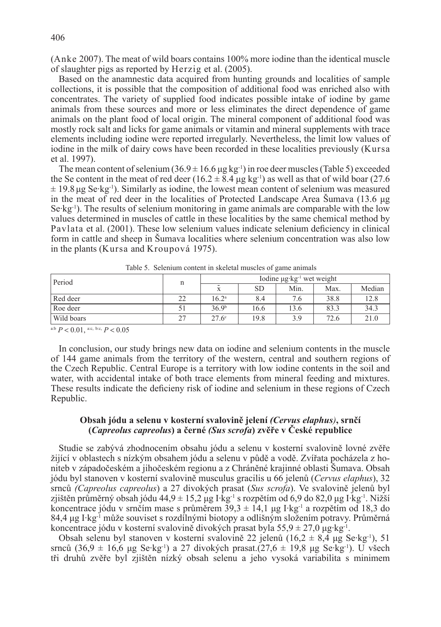(Anke 2007). The meat of wild boars contains 100% more iodine than the identical muscle of slaughter pigs as reported by Herzig et al. (2005).

Based on the anamnestic data acquired from hunting grounds and localities of sample collections, it is possible that the composition of additional food was enriched also with concentrates. The variety of supplied food indicates possible intake of iodine by game animals from these sources and more or less eliminates the direct dependence of game animals on the plant food of local origin. The mineral component of additional food was mostly rock salt and licks for game animals or vitamin and mineral supplements with trace elements including iodine were reported irregularly. Nevertheless, the limit low values of iodine in the milk of dairy cows have been recorded in these localities previously (Kursa et al. 1997).

The mean content of selenium  $(36.9 \pm 16.6 \,\mu g \,\text{kg}^{-1})$  in roe deer muscles (Table 5) exceeded the Se content in the meat of red deer (16.2  $\pm$  8.4 μg kg<sup>-1</sup>) as well as that of wild boar (27.6)  $\pm$  19.8 μg Se·kg<sup>-1</sup>). Similarly as iodine, the lowest mean content of selenium was measured in the meat of red deer in the localities of Protected Landscape Area Šumava (13.6 μg  $\text{Se-kg-1}$ . The results of selenium monitoring in game animals are comparable with the low values determined in muscles of cattle in these localities by the same chemical method by Pavlata et al. (2001). These low selenium values indicate selenium deficiency in clinical form in cattle and sheep in Šumava localities where selenium concentration was also low in the plants (Kursa and Kroupová 1975).

| Period     | n  | Iodine $\mu$ g·kg <sup>-1</sup> wet weight |      |      |      |        |  |
|------------|----|--------------------------------------------|------|------|------|--------|--|
|            |    |                                            | SD   | Min. | Max. | Median |  |
| Red deer   | 22 | $16.2^{\circ}$                             | 8.4  | 7.6  | 38.8 | 12.8   |  |
| Roe deer   |    | 36.9 <sup>b</sup>                          | 16.6 | 13.6 | 83.3 | 34.3   |  |
| Wild boars | 27 | $27.6^\circ$                               | 19.8 | 3.9  | 72.6 | 21.0   |  |

Table 5. Selenium content in skeletal muscles of game animals

a:b  $P < 0.01$ , a:c, b:c,  $P < 0.05$ 

In conclusion, our study brings new data on iodine and selenium contents in the muscle of 144 game animals from the territory of the western, central and southern regions of the Czech Republic. Central Europe is a territory with low iodine contents in the soil and water, with accidental intake of both trace elements from mineral feeding and mixtures. These results indicate the deficieny risk of iodine and selenium in these regions of Czech Republic.

## **Obsah jódu a selenu v kosterní svalovině jelení** *(Cervus elaphus)***, srnčí (***Capreolus capreolus***) a černé** *(Sus scrofa***) zvěře v České republice**

Studie se zabývá zhodnocením obsahu jódu a selenu v kosterní svalovině lovné zvěře žijící v oblastech s nízkým obsahem jódu a selenu v půdě a vodě. Zvířata pocházela z honiteb v západočeském a jihočeském regionu a z Chráněné krajinné oblasti Šumava. Obsah jódu byl stanoven v kosterní svalovině musculus gracilis u 66 jelenů (*Cervus elaphus*), 32 srnců *(Capreolus capreolus*) a 27 divokých prasat (*Sus scrofa*). Ve svalovině jelenů byl zjištěn průměrný obsah jódu 44,9 ± 15,2 μg I·kg<sup>-1</sup> s rozpětím od 6,9 do 82,0 μg I·kg<sup>-1</sup>. Nižší koncentrace jódu v srnčím mase s průměrem  $39.3 \pm 14.1$  µg I·kg<sup>-1</sup> a rozpětím od 18,3 do 84,4 μg I·kg-1 může souviset s rozdílnými biotopy a odlišným složením potravy. Průměrná koncentrace jódu v kosterní svalovině divokých prasat byla  $55.9 \pm 27.0 \,\mu g \cdot kg^{-1}$ .

Obsah selenu byl stanoven v kosterní svalovině 22 jelenů (16,2  $\pm$  8,4 µg Se·kg<sup>-1</sup>), 51 srnců  $(36.9 \pm 16.6 \text{ µg} \text{ Se} \cdot \text{kg}^{-1})$  a 27 divokých prasat. $(27.6 \pm 19.8 \text{ µg} \text{ Se} \cdot \text{kg}^{-1})$ . U všech tři druhů zvěře byl zjištěn nízký obsah selenu a jeho vysoká variabilita s minimem